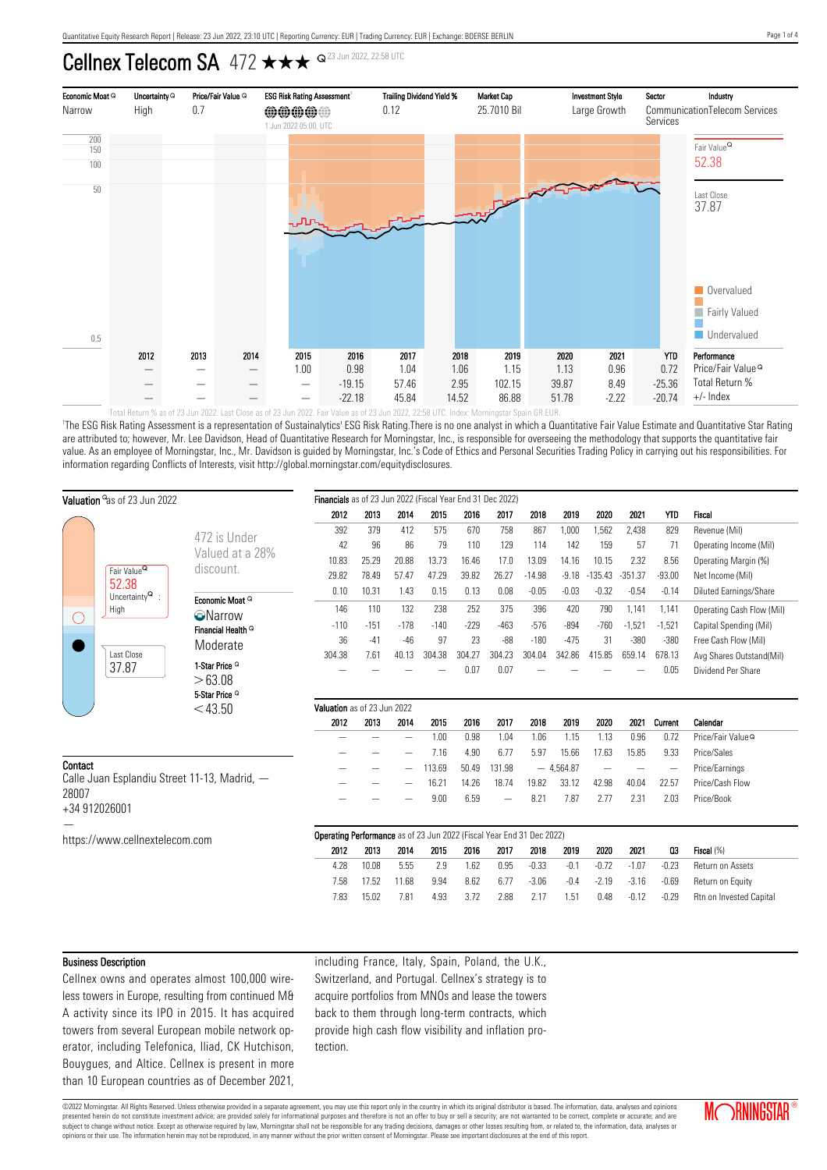# Cellnex Telecom SA 472  $\star\star\star$   $\sim$   $^{23$  Jun 2022, 22:58 UTC



'The ESG Risk Rating Assessment is a representation of Sustainalytics' ESG Risk Rating.There is no one analyst in which a Quantitative Fair Value Estimate and Quantitative Star Rating are attributed to; however, Mr. Lee Davidson, Head of Quantitative Research for Morningstar, Inc., is responsible for overseeing the methodology that supports the quantitative fair value. As an employee of Morningstar, Inc., Mr. Davidson is guided by Morningstar, Inc.'s Code of Ethics and Personal Securities Trading Policy in carrying out his responsibilities. For information regarding Conflicts of Interests, visit http://global.morningstar.com/equitydisclosures.

| Valuation <sup>o</sup> as of 23 Jun 2022                                                   |                                     | Financials as of 23 Jun 2022 (Fiscal Year End 31 Dec 2022)            |        |                          |        |        |        |          |             |                          |                          |                          |                               |
|--------------------------------------------------------------------------------------------|-------------------------------------|-----------------------------------------------------------------------|--------|--------------------------|--------|--------|--------|----------|-------------|--------------------------|--------------------------|--------------------------|-------------------------------|
|                                                                                            |                                     | 2012                                                                  | 2013   | 2014                     | 2015   | 2016   | 2017   | 2018     | 2019        | 2020                     | 2021                     | <b>YTD</b>               | Fiscal                        |
|                                                                                            | 472 is Under                        | 392                                                                   | 379    | 412                      | 575    | 670    | 758    | 867      | 1,000       | 1,562                    | 2,438                    | 829                      | Revenue (Mil)                 |
|                                                                                            |                                     | 42                                                                    | 96     | 86                       | 79     | 110    | 129    | 114      | 142         | 159                      | 57                       | 71                       | Operating Income (Mil)        |
| Fair Value <sup>Q</sup><br>52.38<br>Uncertainty $\mathsf{Q}$ :<br>High<br>€.<br>Last Close | Valued at a 28%                     | 10.83                                                                 | 25.29  | 20.88                    | 13.73  | 16.46  | 17.0   | 13.09    | 14.16       | 10.15                    | 2.32                     | 8.56                     | Operating Margin (%)          |
|                                                                                            | discount.                           | 29.82                                                                 | 78.49  | 57.47                    | 47.29  | 39.82  | 26.27  | $-14.98$ | $-9.18$     | $-135.43$                | $-351.37$                | $-93.00$                 | Net Income (Mil)              |
|                                                                                            | Economic Moat Q                     | 0.10                                                                  | 10.31  | 1.43                     | 0.15   | 0.13   | 0.08   | $-0.05$  | $-0.03$     | $-0.32$                  | $-0.54$                  | $-0.14$                  | Diluted Earnings/Share        |
|                                                                                            | <b>O</b> Narrow                     | 146                                                                   | 110    | 132                      | 238    | 252    | 375    | 396      | 420         | 790                      | 1,141                    | 1,141                    | Operating Cash Flow (Mil)     |
|                                                                                            | Financial Health <sup>Q</sup>       | $-110$                                                                | $-151$ | $-178$                   | $-140$ | $-229$ | $-463$ | $-576$   | $-894$      | $-760$                   | $-1,521$                 | $-1,521$                 | Capital Spending (Mil)        |
|                                                                                            | Moderate                            | 36                                                                    | $-41$  | $-46$                    | 97     | 23     | $-88$  | $-180$   | $-475$      | 31                       | $-380$                   | $-380$                   | Free Cash Flow (Mil)          |
|                                                                                            |                                     | 304.38                                                                | 7.61   | 40.13                    | 304.38 | 304.27 | 304.23 | 304.04   | 342.86      | 415.85                   | 659.14                   | 678.13                   | Avg Shares Outstand(Mil)      |
| 37.87                                                                                      | 1-Star Price <sup>Q</sup>           |                                                                       |        |                          |        | 0.07   | 0.07   |          |             |                          |                          | 0.05                     | Dividend Per Share            |
|                                                                                            | >63.08<br>5-Star Price <sup>Q</sup> |                                                                       |        |                          |        |        |        |          |             |                          |                          |                          |                               |
|                                                                                            | $<$ 43.50                           | Valuation as of 23 Jun 2022                                           |        |                          |        |        |        |          |             |                          |                          |                          |                               |
|                                                                                            |                                     | 2012                                                                  | 2013   | 2014                     | 2015   | 2016   | 2017   | 2018     | 2019        | 2020                     | 2021                     | Current                  | Calendar                      |
|                                                                                            |                                     |                                                                       |        | $\overline{\phantom{0}}$ | 1.00   | 0.98   | 1.04   | 1.06     | 1.15        | 1.13                     | 0.96                     | 0.72                     | Price/Fair Value <sup>Q</sup> |
|                                                                                            |                                     |                                                                       |        |                          | 7.16   | 4.90   | 6.77   | 5.97     | 15.66       | 17.63                    | 15.85                    | 9.33                     | Price/Sales                   |
| Contact                                                                                    |                                     |                                                                       |        |                          | 113.69 | 50.49  | 131.98 |          | $-4,564.87$ | $\overline{\phantom{m}}$ | $\overline{\phantom{m}}$ | $\overline{\phantom{a}}$ | Price/Earnings                |
| Calle Juan Esplandiu Street 11-13, Madrid, -                                               |                                     |                                                                       |        |                          | 16.21  | 14.26  | 18.74  | 19.82    | 33.12       | 42.98                    | 40.04                    | 22.57                    | Price/Cash Flow               |
| 28007                                                                                      |                                     |                                                                       |        |                          | 9.00   | 6.59   |        | 8.21     | 7.87        | 2.77                     | 2.31                     | 2.03                     | Price/Book                    |
| +34 912026001                                                                              |                                     |                                                                       |        |                          |        |        |        |          |             |                          |                          |                          |                               |
|                                                                                            |                                     | Operating Performance as of 23 Jun 2022 (Fiscal Year End 31 Dec 2022) |        |                          |        |        |        |          |             |                          |                          |                          |                               |
| https://www.cellnextelecom.com                                                             |                                     | 2012                                                                  | 2013   | 2014                     | 2015   | 2016   | 2017   | 2018     | 2019        | 2020                     | 2021                     | 03                       | Fiscal (%)                    |
|                                                                                            |                                     | 4.28                                                                  | 10.08  | 5.55                     | 2.9    | 1.62   | 0.95   | $-0.33$  | $-0.1$      | $-0.72$                  | $-1.07$                  | $-0.23$                  | Return on Assets              |
|                                                                                            |                                     | 7.58                                                                  | 17.52  | 11.68                    | 9.94   | 8.62   | 6.77   | $-3.06$  | $-0.4$      | $-2.19$                  | $-3.16$                  | $-0.69$                  | Return on Equity              |
|                                                                                            |                                     | 7.83                                                                  | 15.02  | 7.81                     | 4.93   | 3.72   | 2.88   | 2.17     | 1.51        | 0.48                     | $-0.12$                  | $-0.29$                  | Rtn on Invested Capital       |
|                                                                                            |                                     |                                                                       |        |                          |        |        |        |          |             |                          |                          |                          |                               |

#### Business Description

Cellnex owns and operates almost 100,000 wireless towers in Europe, resulting from continued M& A activity since its IPO in 2015. It has acquired towers from several European mobile network operator, including Telefonica, Iliad, CK Hutchison, Bouygues, and Altice. Cellnex is present in more than 10 European countries as of December 2021, including France, Italy, Spain, Poland, the U.K., Switzerland, and Portugal. Cellnex's strategy is to acquire portfolios from MNOs and lease the towers back to them through long-term contracts, which provide high cash flow visibility and inflation protection.

©2022 Morningstar. All Rights Reserved. Unless otherwise provided in a separate agreement, you may use this report only in the country in which its original distributor is based. The information, data, analyses and opinions presented herein do not constitute investment advice; are provided solely for informational purposes and therefore is not an offer to buy or sell a security; are not warranted to be correct, complete or accurate; and are subject to change without notice. Except as otherwise required by law, Morningstar shall not be responsible for any trading decisions, damages or other losses resulting from, or related to, the information, data, analyses opinions or their use. The information herein may not be reproduced, in any manner without the prior written consent of Morningstar. Please see important disclosures at the end of this report.

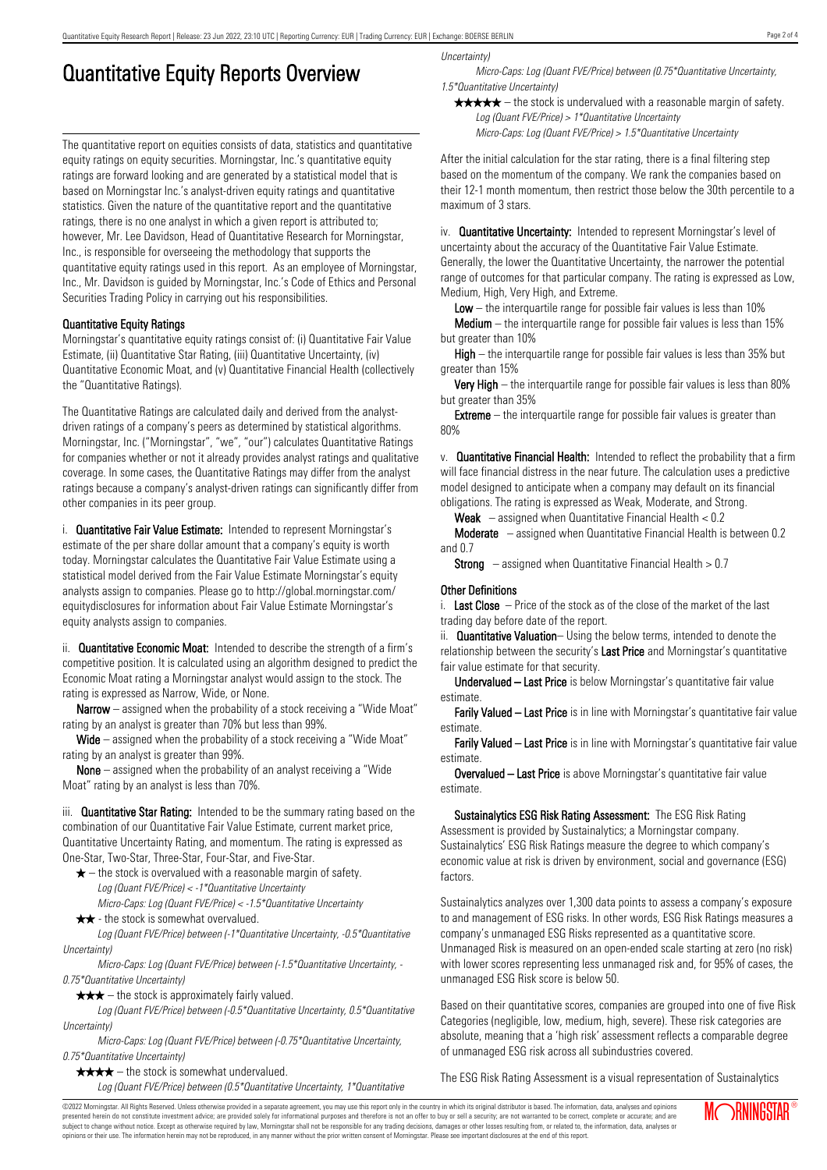# Quantitative Equity Reports Overview

The quantitative report on equities consists of data, statistics and quantitative equity ratings on equity securities. Morningstar, Inc.'s quantitative equity ratings are forward looking and are generated by a statistical model that is based on Morningstar Inc.'s analyst-driven equity ratings and quantitative statistics. Given the nature of the quantitative report and the quantitative ratings, there is no one analyst in which a given report is attributed to; however, Mr. Lee Davidson, Head of Quantitative Research for Morningstar, Inc., is responsible for overseeing the methodology that supports the quantitative equity ratings used in this report. As an employee of Morningstar, Inc., Mr. Davidson is guided by Morningstar, Inc.'s Code of Ethics and Personal Securities Trading Policy in carrying out his responsibilities.

## Quantitative Equity Ratings

Morningstar's quantitative equity ratings consist of: (i) Quantitative Fair Value Estimate, (ii) Quantitative Star Rating, (iii) Quantitative Uncertainty, (iv) Quantitative Economic Moat, and (v) Quantitative Financial Health (collectively the "Quantitative Ratings).

The Quantitative Ratings are calculated daily and derived from the analystdriven ratings of a company's peers as determined by statistical algorithms. Morningstar, Inc. ("Morningstar", "we", "our") calculates Quantitative Ratings for companies whether or not it already provides analyst ratings and qualitative coverage. In some cases, the Quantitative Ratings may differ from the analyst ratings because a company's analyst-driven ratings can significantly differ from other companies in its peer group.

i. **Quantitative Fair Value Estimate:** Intended to represent Morningstar's estimate of the per share dollar amount that a company's equity is worth today. Morningstar calculates the Quantitative Fair Value Estimate using a statistical model derived from the Fair Value Estimate Morningstar's equity analysts assign to companies. Please go to http://global.morningstar.com/ equitydisclosures for information about Fair Value Estimate Morningstar's equity analysts assign to companies.

ii. **Quantitative Economic Moat:** Intended to describe the strength of a firm's competitive position. It is calculated using an algorithm designed to predict the Economic Moat rating a Morningstar analyst would assign to the stock. The rating is expressed as Narrow, Wide, or None.

**Narrow** – assigned when the probability of a stock receiving a "Wide Moat" rating by an analyst is greater than 70% but less than 99%.

Wide – assigned when the probability of a stock receiving a "Wide Moat" rating by an analyst is greater than 99%.

None – assigned when the probability of an analyst receiving a "Wide Moat" rating by an analyst is less than 70%.

iii. **Quantitative Star Rating:** Intended to be the summary rating based on the combination of our Quantitative Fair Value Estimate, current market price, Quantitative Uncertainty Rating, and momentum. The rating is expressed as One-Star, Two-Star, Three-Star, Four-Star, and Five-Star.

- $\star$  the stock is overvalued with a reasonable margin of safety. Log (Quant FVE/Price) < -1\*Quantitative Uncertainty
- Micro-Caps: Log (Quant FVE/Price) < -1.5\*Quantitative Uncertainty  $\star \star$  - the stock is somewhat overvalued.

Log (Quant FVE/Price) between (-1\*Quantitative Uncertainty, -0.5\*Quantitative Uncertainty)

Micro-Caps: Log (Quant FVE/Price) between (-1.5\*Quantitative Uncertainty, - 0.75\*Quantitative Uncertainty)

 $\star \star \star$  – the stock is approximately fairly valued.

Log (Quant FVE/Price) between (-0.5\*Quantitative Uncertainty, 0.5\*Quantitative Uncertainty)

Micro-Caps: Log (Quant FVE/Price) between (-0.75\*Quantitative Uncertainty, 0.75\*Quantitative Uncertainty)

 $\star \star \star \star$  – the stock is somewhat undervalued. Log (Quant FVE/Price) between (0.5\*Quantitative Uncertainty, 1\*Quantitative Uncertainty)

Micro-Caps: Log (Quant FVE/Price) between (0.75\*Quantitative Uncertainty, 1.5\*Quantitative Uncertainty)

 $\star \star \star \star$  – the stock is undervalued with a reasonable margin of safety. Log (Quant FVE/Price) > 1\*Quantitative Uncertainty

Micro-Caps: Log (Quant FVE/Price) > 1.5\*Quantitative Uncertainty

After the initial calculation for the star rating, there is a final filtering step based on the momentum of the company. We rank the companies based on their 12-1 month momentum, then restrict those below the 30th percentile to a maximum of 3 stars.

iv. **Quantitative Uncertainty:** Intended to represent Morningstar's level of uncertainty about the accuracy of the Quantitative Fair Value Estimate. Generally, the lower the Quantitative Uncertainty, the narrower the potential range of outcomes for that particular company. The rating is expressed as Low, Medium, High, Very High, and Extreme.

**Low** – the interguartile range for possible fair values is less than  $10\%$ 

**Medium** – the interquartile range for possible fair values is less than  $15\%$ but greater than 10%

High – the interquartile range for possible fair values is less than 35% but greater than 15%

Very High – the interquartile range for possible fair values is less than 80% but greater than 35%

**Extreme** – the interquartile range for possible fair values is greater than 80%

v. Quantitative Financial Health: Intended to reflect the probability that a firm will face financial distress in the near future. The calculation uses a predictive model designed to anticipate when a company may default on its financial obligations. The rating is expressed as Weak, Moderate, and Strong.

**Weak**  $-$  assigned when Quantitative Financial Health  $< 0.2$ 

Moderate – assigned when Quantitative Financial Health is between 0.2 and 0.7

**Strong** – assigned when Quantitative Financial Health  $> 0.7$ 

## Other Definitions

i. Last Close  $-$  Price of the stock as of the close of the market of the last trading day before date of the report.

ii. **Quantitative Valuation**– Using the below terms, intended to denote the relationship between the security's Last Price and Morningstar's quantitative fair value estimate for that security.

Undervalued – Last Price is below Morningstar's quantitative fair value estimate.

Farily Valued – Last Price is in line with Morningstar's quantitative fair value estimate.

Farily Valued – Last Price is in line with Morningstar's quantitative fair value estimate.

Overvalued – Last Price is above Morningstar's quantitative fair value estimate.

Sustainalytics ESG Risk Rating Assessment: The ESG Risk Rating Assessment is provided by Sustainalytics; a Morningstar company. Sustainalytics' ESG Risk Ratings measure the degree to which company's economic value at risk is driven by environment, social and governance (ESG) factors.

Sustainalytics analyzes over 1,300 data points to assess a company's exposure to and management of ESG risks. In other words, ESG Risk Ratings measures a company's unmanaged ESG Risks represented as a quantitative score. Unmanaged Risk is measured on an open-ended scale starting at zero (no risk) with lower scores representing less unmanaged risk and, for 95% of cases, the unmanaged ESG Risk score is below 50.

Based on their quantitative scores, companies are grouped into one of five Risk Categories (negligible, low, medium, high, severe). These risk categories are absolute, meaning that a 'high risk' assessment reflects a comparable degree of unmanaged ESG risk across all subindustries covered.

The ESG Risk Rating Assessment is a visual representation of Sustainalytics

Page 2 of 4

©2022 Morningstar. All Rights Reserved. Unless otherwise provided in a separate agreement, you may use this report only in the country in which its original distributor is based. The information, data, analyses and opinions presented herein do not constitute investment advice; are provided solely for informational purposes and therefore is not an offer to buy or sell a security; are not warranted to be correct, complete or accurate; and are subject to change without notice. Except as otherwise required by law, Morningstar shall not be responsible for any trading decisions, damages or other losses resulting from, or related to, the information, data, analyses or opinions or their use. The information herein may not be reproduced, in any manner without the prior written consent of Morningstar. Please see important disclosures at the end of this report.

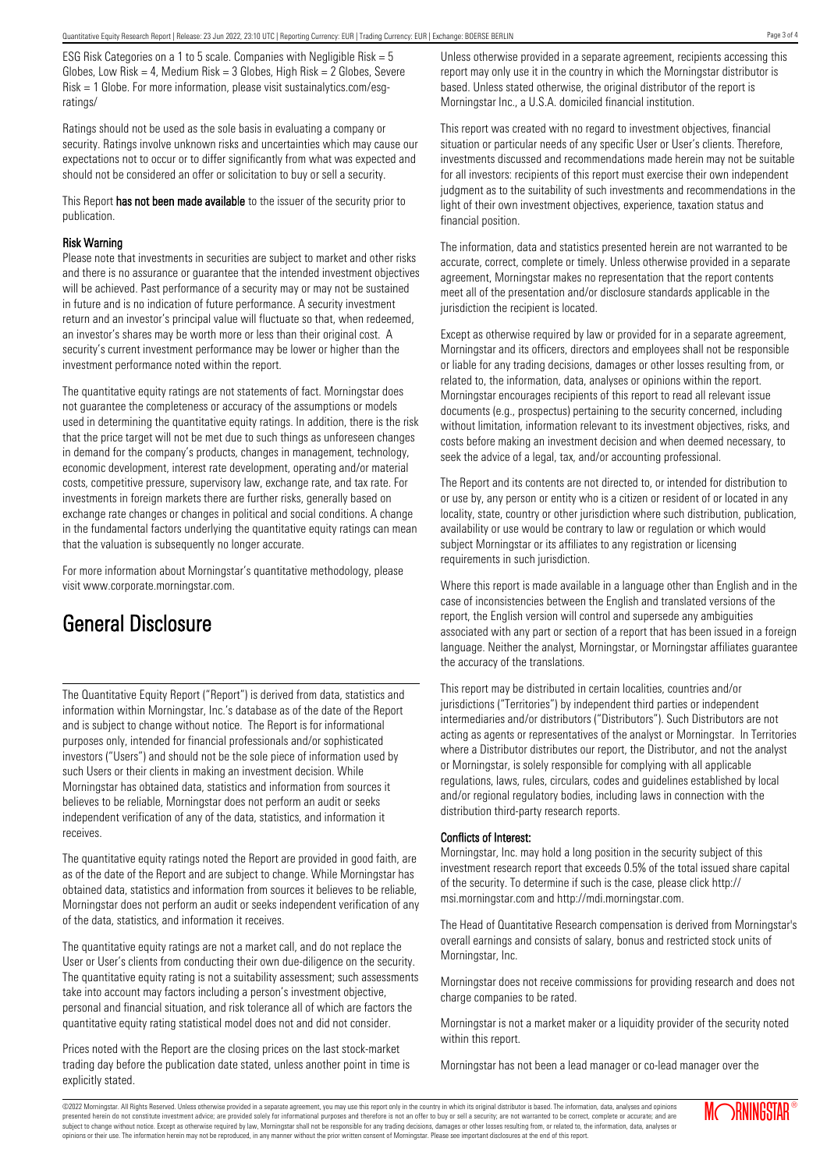ESG Risk Categories on a 1 to 5 scale. Companies with Negligible Risk = 5 Globes, Low Risk = 4, Medium Risk =  $3$  Globes, High Risk =  $2$  Globes, Severe Risk = 1 Globe. For more information, please visit sustainalytics.com/esgratings/

Ratings should not be used as the sole basis in evaluating a company or security. Ratings involve unknown risks and uncertainties which may cause our expectations not to occur or to differ significantly from what was expected and should not be considered an offer or solicitation to buy or sell a security.

This Report has not been made available to the issuer of the security prior to publication.

#### Risk Warning

Please note that investments in securities are subject to market and other risks and there is no assurance or guarantee that the intended investment objectives will be achieved. Past performance of a security may or may not be sustained in future and is no indication of future performance. A security investment return and an investor's principal value will fluctuate so that, when redeemed, an investor's shares may be worth more or less than their original cost. A security's current investment performance may be lower or higher than the investment performance noted within the report.

The quantitative equity ratings are not statements of fact. Morningstar does not guarantee the completeness or accuracy of the assumptions or models used in determining the quantitative equity ratings. In addition, there is the risk that the price target will not be met due to such things as unforeseen changes in demand for the company's products, changes in management, technology, economic development, interest rate development, operating and/or material costs, competitive pressure, supervisory law, exchange rate, and tax rate. For investments in foreign markets there are further risks, generally based on exchange rate changes or changes in political and social conditions. A change in the fundamental factors underlying the quantitative equity ratings can mean that the valuation is subsequently no longer accurate.

For more information about Morningstar's quantitative methodology, please visit www.corporate.morningstar.com.

# General Disclosure

The Quantitative Equity Report ("Report") is derived from data, statistics and information within Morningstar, Inc.'s database as of the date of the Report and is subject to change without notice. The Report is for informational purposes only, intended for financial professionals and/or sophisticated investors ("Users") and should not be the sole piece of information used by such Users or their clients in making an investment decision. While Morningstar has obtained data, statistics and information from sources it believes to be reliable, Morningstar does not perform an audit or seeks independent verification of any of the data, statistics, and information it receives.

The quantitative equity ratings noted the Report are provided in good faith, are as of the date of the Report and are subject to change. While Morningstar has obtained data, statistics and information from sources it believes to be reliable, Morningstar does not perform an audit or seeks independent verification of any of the data, statistics, and information it receives.

The quantitative equity ratings are not a market call, and do not replace the User or User's clients from conducting their own due-diligence on the security. The quantitative equity rating is not a suitability assessment; such assessments take into account may factors including a person's investment objective, personal and financial situation, and risk tolerance all of which are factors the quantitative equity rating statistical model does not and did not consider.

Prices noted with the Report are the closing prices on the last stock-market trading day before the publication date stated, unless another point in time is explicitly stated.

Unless otherwise provided in a separate agreement, recipients accessing this report may only use it in the country in which the Morningstar distributor is based. Unless stated otherwise, the original distributor of the report is Morningstar Inc., a U.S.A. domiciled financial institution.

This report was created with no regard to investment objectives, financial situation or particular needs of any specific User or User's clients. Therefore, investments discussed and recommendations made herein may not be suitable for all investors: recipients of this report must exercise their own independent judgment as to the suitability of such investments and recommendations in the light of their own investment objectives, experience, taxation status and financial position.

The information, data and statistics presented herein are not warranted to be accurate, correct, complete or timely. Unless otherwise provided in a separate agreement, Morningstar makes no representation that the report contents meet all of the presentation and/or disclosure standards applicable in the jurisdiction the recipient is located.

Except as otherwise required by law or provided for in a separate agreement, Morningstar and its officers, directors and employees shall not be responsible or liable for any trading decisions, damages or other losses resulting from, or related to, the information, data, analyses or opinions within the report. Morningstar encourages recipients of this report to read all relevant issue documents (e.g., prospectus) pertaining to the security concerned, including without limitation, information relevant to its investment objectives, risks, and costs before making an investment decision and when deemed necessary, to seek the advice of a legal, tax, and/or accounting professional.

The Report and its contents are not directed to, or intended for distribution to or use by, any person or entity who is a citizen or resident of or located in any locality, state, country or other jurisdiction where such distribution, publication, availability or use would be contrary to law or regulation or which would subject Morningstar or its affiliates to any registration or licensing requirements in such jurisdiction.

Where this report is made available in a language other than English and in the case of inconsistencies between the English and translated versions of the report, the English version will control and supersede any ambiguities associated with any part or section of a report that has been issued in a foreign language. Neither the analyst, Morningstar, or Morningstar affiliates guarantee the accuracy of the translations.

This report may be distributed in certain localities, countries and/or jurisdictions ("Territories") by independent third parties or independent intermediaries and/or distributors ("Distributors"). Such Distributors are not acting as agents or representatives of the analyst or Morningstar. In Territories where a Distributor distributes our report, the Distributor, and not the analyst or Morningstar, is solely responsible for complying with all applicable regulations, laws, rules, circulars, codes and guidelines established by local and/or regional regulatory bodies, including laws in connection with the distribution third-party research reports.

### Conflicts of Interest:

Morningstar, Inc. may hold a long position in the security subject of this investment research report that exceeds 0.5% of the total issued share capital of the security. To determine if such is the case, please click http:// msi.morningstar.com and http://mdi.morningstar.com.

The Head of Quantitative Research compensation is derived from Morningstar's overall earnings and consists of salary, bonus and restricted stock units of Morningstar, Inc.

Morningstar does not receive commissions for providing research and does not charge companies to be rated.

Morningstar is not a market maker or a liquidity provider of the security noted within this report.

Morningstar has not been a lead manager or co-lead manager over the

©2022 Morningstar. All Rights Reserved. Unless otherwise provided in a separate agreement, you may use this report only in the country in which its original distributor is based. The information, data, analyses and opinions presented herein do not constitute investment advice; are provided solely for informational purposes and therefore is not an offer to buy or sell a security; are not warranted to be correct, complete or accurate; and are subject to change without notice. Except as otherwise required by law, Morningstar shall not be responsible for any trading decisions, damages or other losses resulting from, or related to, the information, data, analyses or opinions or their use. The information herein may not be reproduced, in any manner without the prior written consent of Morningstar. Please see important disclosures at the end of this report.